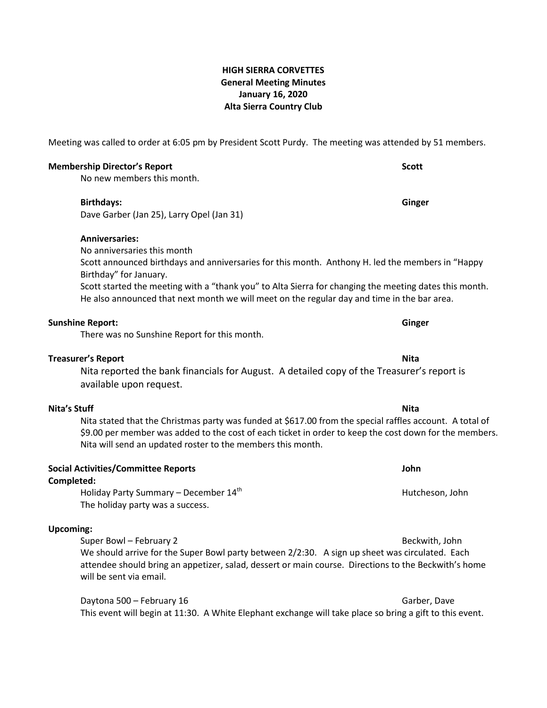# **HIGH SIERRA CORVETTES General Meeting Minutes January 16, 2020 Alta Sierra Country Club**

Meeting was called to order at 6:05 pm by President Scott Purdy. The meeting was attended by 51 members.

## **Membership Director's Report Scott**

No new members this month.

### **Birthdays: Ginger**

Dave Garber (Jan 25), Larry Opel (Jan 31)

## **Anniversaries:**

No anniversaries this month

Scott announced birthdays and anniversaries for this month. Anthony H. led the members in "Happy Birthday" for January.

Scott started the meeting with a "thank you" to Alta Sierra for changing the meeting dates this month. He also announced that next month we will meet on the regular day and time in the bar area.

### **Sunshine Report: Ginger**

There was no Sunshine Report for this month.

## **Treasurer's Report Nita**

Nita reported the bank financials for August. A detailed copy of the Treasurer's report is available upon request.

# **Nita's Stuff Nita**

Nita stated that the Christmas party was funded at \$617.00 from the special raffles account. A total of \$9.00 per member was added to the cost of each ticket in order to keep the cost down for the members. Nita will send an updated roster to the members this month.

| John |
|------|
|      |

## **Completed:**

Holiday Party Summary – December  $14<sup>th</sup>$  Hutcheson, John Hutcheson, John The holiday party was a success.

## **Upcoming:**

Super Bowl – February 2 Beckwith, John We should arrive for the Super Bowl party between 2/2:30. A sign up sheet was circulated. Each attendee should bring an appetizer, salad, dessert or main course. Directions to the Beckwith's home will be sent via email.

Daytona 500 – February 16 Garber, Dave Garber, Dave Garber, Dave This event will begin at 11:30. A White Elephant exchange will take place so bring a gift to this event.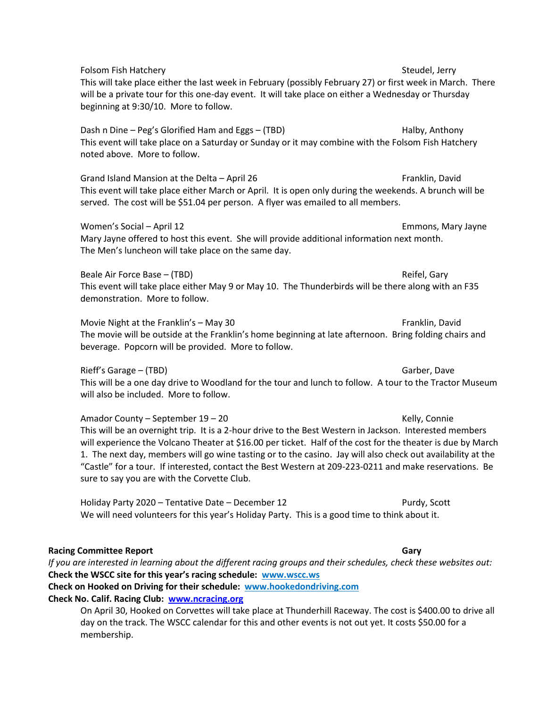Folsom Fish Hatchery Steudel, Jerry Steudel, Jerry Steudel, Jerry This will take place either the last week in February (possibly February 27) or first week in March. There will be a private tour for this one-day event. It will take place on either a Wednesday or Thursday beginning at 9:30/10. More to follow. Dash n Dine – Peg's Glorified Ham and Eggs – (TBD) Halby, Anthony Halby, Anthony This event will take place on a Saturday or Sunday or it may combine with the Folsom Fish Hatchery noted above. More to follow. Grand Island Mansion at the Delta – April 26 Franklin, David This event will take place either March or April. It is open only during the weekends. A brunch will be served. The cost will be \$51.04 per person. A flyer was emailed to all members. Women's Social – April 12 **Emmons, Mary Jayne** Emmons, Mary Jayne Mary Jayne offered to host this event. She will provide additional information next month. The Men's luncheon will take place on the same day. Beale Air Force Base – (TBD) Reifel, Gary This event will take place either May 9 or May 10. The Thunderbirds will be there along with an F35 demonstration. More to follow. Movie Night at the Franklin's – May 30 **Franklin**, David The movie will be outside at the Franklin's home beginning at late afternoon. Bring folding chairs and beverage. Popcorn will be provided. More to follow. Rieff's Garage – (TBD) Garber, Dave Garber, Dave Garber, Dave Garber, Dave Garber, Dave Garber, Dave Garber, D This will be a one day drive to Woodland for the tour and lunch to follow. A tour to the Tractor Museum will also be included. More to follow. Amador County – September 19 – 20 Kelly, Connie This will be an overnight trip. It is a 2-hour drive to the Best Western in Jackson. Interested members will experience the Volcano Theater at \$16.00 per ticket. Half of the cost for the theater is due by March 1. The next day, members will go wine tasting or to the casino. Jay will also check out availability at the "Castle" for a tour. If interested, contact the Best Western at 209-223-0211 and make reservations. Be sure to say you are with the Corvette Club. Holiday Party 2020 – Tentative Date – December 12 Purdy, Scott We will need volunteers for this year's Holiday Party. This is a good time to think about it. **Racing Committee Report Gary** *If you are interested in learning about the different racing groups and their schedules, check these websites out:* **Check the WSCC site for this year's racing schedule: www.wscc.ws Check on Hooked on Driving for their schedule: [www.hookedondriving.com](http://www.hookedondriving.com/) Check No. Calif. Racing Club: [www.ncracing.org](http://www.ncracing.org/)**

On April 30, Hooked on Corvettes will take place at Thunderhill Raceway. The cost is \$400.00 to drive all day on the track. The WSCC calendar for this and other events is not out yet. It costs \$50.00 for a membership.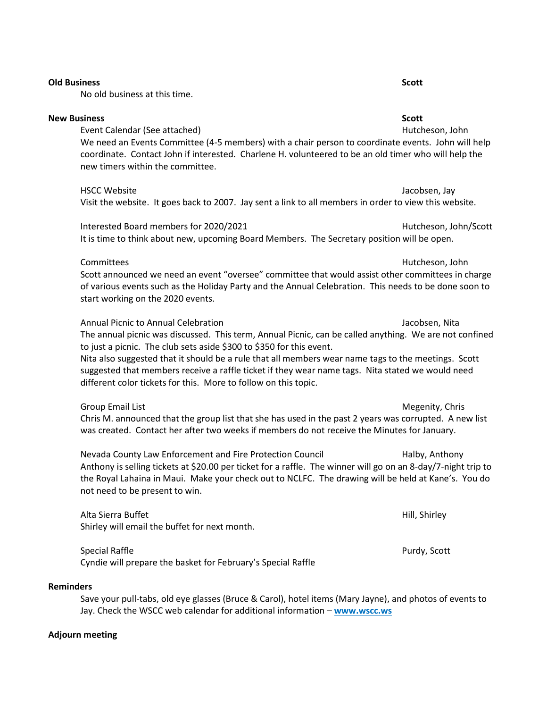| We need an Events Committee (4-5 members) with a chair person to coordinate events. John will help<br>coordinate. Contact John if interested. Charlene H. volunteered to be an old timer who will help the<br>new timers within the committee.                                                                                                                                                                                                                                                      |                       |
|-----------------------------------------------------------------------------------------------------------------------------------------------------------------------------------------------------------------------------------------------------------------------------------------------------------------------------------------------------------------------------------------------------------------------------------------------------------------------------------------------------|-----------------------|
| <b>HSCC Website</b><br>Visit the website. It goes back to 2007. Jay sent a link to all members in order to view this website.                                                                                                                                                                                                                                                                                                                                                                       | Jacobsen, Jay         |
| Interested Board members for 2020/2021<br>It is time to think about new, upcoming Board Members. The Secretary position will be open.                                                                                                                                                                                                                                                                                                                                                               | Hutcheson, John/Scott |
| Committees<br>Scott announced we need an event "oversee" committee that would assist other committees in charge<br>of various events such as the Holiday Party and the Annual Celebration. This needs to be done soon to<br>start working on the 2020 events.                                                                                                                                                                                                                                       | Hutcheson, John       |
| Annual Picnic to Annual Celebration<br>The annual picnic was discussed. This term, Annual Picnic, can be called anything. We are not confined<br>to just a picnic. The club sets aside \$300 to \$350 for this event.<br>Nita also suggested that it should be a rule that all members wear name tags to the meetings. Scott<br>suggested that members receive a raffle ticket if they wear name tags. Nita stated we would need<br>different color tickets for this. More to follow on this topic. | Jacobsen, Nita        |
| <b>Group Email List</b><br>Chris M. announced that the group list that she has used in the past 2 years was corrupted. A new list<br>was created. Contact her after two weeks if members do not receive the Minutes for January.                                                                                                                                                                                                                                                                    | Megenity, Chris       |
| Nevada County Law Enforcement and Fire Protection Council<br>Anthony is selling tickets at \$20.00 per ticket for a raffle. The winner will go on an 8-day/7-night trip to<br>the Royal Lahaina in Maui. Make your check out to NCLFC. The drawing will be held at Kane's. You do<br>not need to be present to win.                                                                                                                                                                                 | Halby, Anthony        |
| Alta Sierra Buffet                                                                                                                                                                                                                                                                                                                                                                                                                                                                                  | Hill, Shirley         |

Special Raffle **Purdy, Scott** Purdy, Scott Cyndie will prepare the basket for February's Special Raffle

Shirley will email the buffet for next month.

# **Reminders**

Save your pull-tabs, old eye glasses (Bruce & Carol), hotel items (Mary Jayne), and photos of events to Jay. Check the WSCC web calendar for additional information – **[www.wscc.ws](http://www.wscc.ws/)**

### **Adjourn meeting**

### **Old Business Scott**

No old business at this time.

### **New Business Scott**

# Event Calendar (See attached) and the settlement of the Hutcheson, John Hutcheson, John